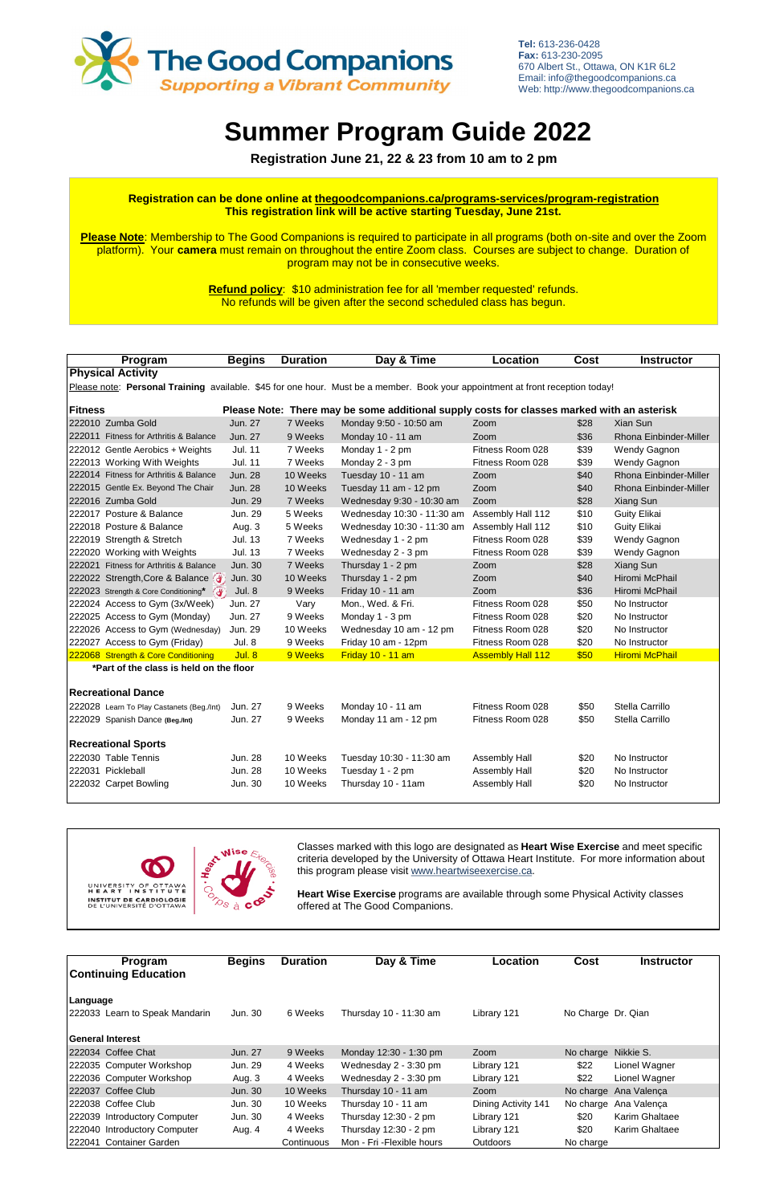| Program                                                                                                                        | <b>Begins</b>  | <b>Duration</b> | Day & Time                                                                                 | Location                 | <b>Cost</b> | <b>Instructor</b>      |  |  |
|--------------------------------------------------------------------------------------------------------------------------------|----------------|-----------------|--------------------------------------------------------------------------------------------|--------------------------|-------------|------------------------|--|--|
| <b>Physical Activity</b>                                                                                                       |                |                 |                                                                                            |                          |             |                        |  |  |
| Please note: Personal Training available. \$45 for one hour. Must be a member. Book your appointment at front reception today! |                |                 |                                                                                            |                          |             |                        |  |  |
|                                                                                                                                |                |                 |                                                                                            |                          |             |                        |  |  |
| Fitness                                                                                                                        |                |                 | Please Note: There may be some additional supply costs for classes marked with an asterisk |                          |             |                        |  |  |
| 222010 Zumba Gold                                                                                                              | Jun. 27        | 7 Weeks         | Monday 9:50 - 10:50 am                                                                     | Zoom                     | \$28        | Xian Sun               |  |  |
| 222011 Fitness for Arthritis & Balance                                                                                         | Jun. 27        | 9 Weeks         | Monday 10 - 11 am                                                                          | Zoom                     | \$36        | Rhona Einbinder-Miller |  |  |
| 222012 Gentle Aerobics + Weights                                                                                               | <b>Jul. 11</b> | 7 Weeks         | Monday 1 - 2 pm                                                                            | Fitness Room 028         | \$39        | Wendy Gagnon           |  |  |
| 222013 Working With Weights                                                                                                    | <b>Jul. 11</b> | 7 Weeks         | Monday 2 - 3 pm                                                                            | Fitness Room 028         | \$39        | Wendy Gagnon           |  |  |
| 222014 Fitness for Arthritis & Balance                                                                                         | <b>Jun. 28</b> | 10 Weeks        | Tuesday 10 - 11 am                                                                         | Zoom                     | \$40        | Rhona Einbinder-Miller |  |  |
| 222015 Gentle Ex. Beyond The Chair                                                                                             | <b>Jun. 28</b> | 10 Weeks        | Tuesday 11 am - 12 pm                                                                      | Zoom                     | \$40        | Rhona Einbinder-Miller |  |  |
| 222016 Zumba Gold                                                                                                              | <b>Jun. 29</b> | 7 Weeks         | Wednesday 9:30 - 10:30 am                                                                  | Zoom                     | \$28        | Xiang Sun              |  |  |
| 222017 Posture & Balance                                                                                                       | Jun. 29        | 5 Weeks         | Wednesday 10:30 - 11:30 am                                                                 | Assembly Hall 112        | \$10        | <b>Guity Elikai</b>    |  |  |
| 222018 Posture & Balance                                                                                                       | Aug. 3         | 5 Weeks         | Wednesday 10:30 - 11:30 am                                                                 | Assembly Hall 112        | \$10        | <b>Guity Elikai</b>    |  |  |
| 222019 Strength & Stretch                                                                                                      | <b>Jul. 13</b> | 7 Weeks         | Wednesday 1 - 2 pm                                                                         | Fitness Room 028         | \$39        | Wendy Gagnon           |  |  |
| 222020 Working with Weights                                                                                                    | <b>Jul. 13</b> | 7 Weeks         | Wednesday 2 - 3 pm                                                                         | Fitness Room 028         | \$39        | Wendy Gagnon           |  |  |
| 222021 Fitness for Arthritis & Balance                                                                                         | <b>Jun. 30</b> | 7 Weeks         | Thursday 1 - 2 pm                                                                          | Zoom                     | \$28        | Xiang Sun              |  |  |
| 222022 Strength, Core & Balance                                                                                                | Jun. 30        | 10 Weeks        | Thursday 1 - 2 pm                                                                          | Zoom                     | \$40        | Hiromi McPhail         |  |  |
| 222023 Strength & Core Conditioning*                                                                                           | <b>Jul. 8</b>  | 9 Weeks         | Friday 10 - 11 am                                                                          | Zoom                     | \$36        | Hiromi McPhail         |  |  |
| 222024 Access to Gym (3x/Week)                                                                                                 | Jun. 27        | Vary            | Mon., Wed. & Fri.                                                                          | Fitness Room 028         | \$50        | No Instructor          |  |  |
| 222025 Access to Gym (Monday)                                                                                                  | Jun. 27        | 9 Weeks         | Monday 1 - 3 pm                                                                            | Fitness Room 028         | \$20        | No Instructor          |  |  |
| 222026 Access to Gym (Wednesday)                                                                                               | Jun. 29        | 10 Weeks        | Wednesday 10 am - 12 pm                                                                    | Fitness Room 028         | \$20        | No Instructor          |  |  |
| 222027 Access to Gym (Friday)                                                                                                  | Jul. 8         | 9 Weeks         | Friday 10 am - 12pm                                                                        | Fitness Room 028         | \$20        | No Instructor          |  |  |
| 222068 Strength & Core Conditioning                                                                                            | Jul. 8         | 9 Weeks         | Friday 10 - 11 am                                                                          | <b>Assembly Hall 112</b> | \$50        | <b>Hiromi McPhail</b>  |  |  |
| *Part of the class is held on the floor                                                                                        |                |                 |                                                                                            |                          |             |                        |  |  |
|                                                                                                                                |                |                 |                                                                                            |                          |             |                        |  |  |
| <b>Recreational Dance</b>                                                                                                      |                |                 |                                                                                            |                          |             |                        |  |  |
| 222028 Learn To Play Castanets (Beg./Int)                                                                                      | Jun. 27        | 9 Weeks         | Monday 10 - 11 am                                                                          | Fitness Room 028         | \$50        | Stella Carrillo        |  |  |
| 222029 Spanish Dance (Beg./Int)                                                                                                | Jun. 27        | 9 Weeks         | Monday 11 am - 12 pm                                                                       | Fitness Room 028         | \$50        | Stella Carrillo        |  |  |
|                                                                                                                                |                |                 |                                                                                            |                          |             |                        |  |  |
| <b>Recreational Sports</b>                                                                                                     |                |                 |                                                                                            |                          |             |                        |  |  |
| 222030 Table Tennis                                                                                                            | <b>Jun. 28</b> | 10 Weeks        | Tuesday 10:30 - 11:30 am                                                                   | Assembly Hall            | \$20        | No Instructor          |  |  |
| 222031 Pickleball                                                                                                              | <b>Jun. 28</b> | 10 Weeks        | Tuesday 1 - 2 pm                                                                           | Assembly Hall            | \$20        | No Instructor          |  |  |
| 222032 Carpet Bowling                                                                                                          | Jun. 30        | 10 Weeks        | Thursday 10 - 11am                                                                         | Assembly Hall            | \$20        | No Instructor          |  |  |
|                                                                                                                                |                |                 |                                                                                            |                          |             |                        |  |  |



| Program<br><b>Continuing Education</b> | <b>Begins</b> | <b>Duration</b> | Day & Time                 | Location            | Cost               | <b>Instructor</b> |
|----------------------------------------|---------------|-----------------|----------------------------|---------------------|--------------------|-------------------|
| Language                               |               |                 |                            |                     |                    |                   |
| 222033 Learn to Speak Mandarin         | Jun. 30       | 6 Weeks         | Thursday 10 - 11:30 am     | Library 121         | No Charge Dr. Qian |                   |
| <b>IGeneral Interest</b>               |               |                 |                            |                     |                    |                   |
| 222034 Coffee Chat                     | Jun. 27       | 9 Weeks         | Monday 12:30 - 1:30 pm     | Zoom                | No charge          | Nikkie S.         |
| 222035 Computer Workshop               | Jun. 29       | 4 Weeks         | Wednesday 2 - 3:30 pm      | Library 121         | \$22               | Lionel Wagner     |
| 222036 Computer Workshop               | Aug. 3        | 4 Weeks         | Wednesday 2 - 3:30 pm      | Library 121         | \$22               | Lionel Wagner     |
| 222037 Coffee Club                     | Jun. 30       | 10 Weeks        | Thursday 10 - 11 am        | Zoom                | No charge          | Ana Valença       |
| 222038 Coffee Club                     | Jun. 30       | 10 Weeks        | Thursday 10 - 11 am        | Dining Activity 141 | No charge          | Ana Valenca       |
| 222039 Introductory Computer           | Jun. 30       | 4 Weeks         | Thursday $12:30 - 2$ pm    | Library 121         | \$20               | Karim Ghaltaee    |
| 222040 Introductory Computer           | Aug. 4        | 4 Weeks         | Thursday $12:30 - 2$ pm    | Library 121         | \$20               | Karim Ghaltaee    |
| 222041 Container Garden                |               | Continuous      | Mon - Fri - Flexible hours | <b>Outdoors</b>     | No charge          |                   |

# **Summer Program Guide 2022**

 **Registration June 21, 22 & 23 from 10 am to 2 pm**

Classes marked with this logo are designated as **Heart Wise Exercise** and meet specific criteria developed by the University of Ottawa Heart Institute. For more information about this program please visit www.heartwiseexercise.ca.

**Heart Wise Exercise** programs are available through some Physical Activity classes offered at The Good Companions.



**Tel:** 613-236-0428 **Fax:** 613-230-2095 670 Albert St., Ottawa, ON K1R 6L2 Email: info@thegoodcompanions.ca Web: http://www.thegoodcompanions.ca

### **Registration can be done online at thegoodcompanions.ca/programs-services/program-registration This registration link will be active starting Tuesday, June 21st.**

**Please Note**: Membership to The Good Companions is required to participate in all programs (both on-site and over the Zoom platform). Your **camera** must remain on throughout the entire Zoom class. Courses are subject to change. Duration of program may not be in consecutive weeks.

> **Refund policy**: \$10 administration fee for all 'member requested' refunds. No refunds will be given after the second scheduled class has begun.